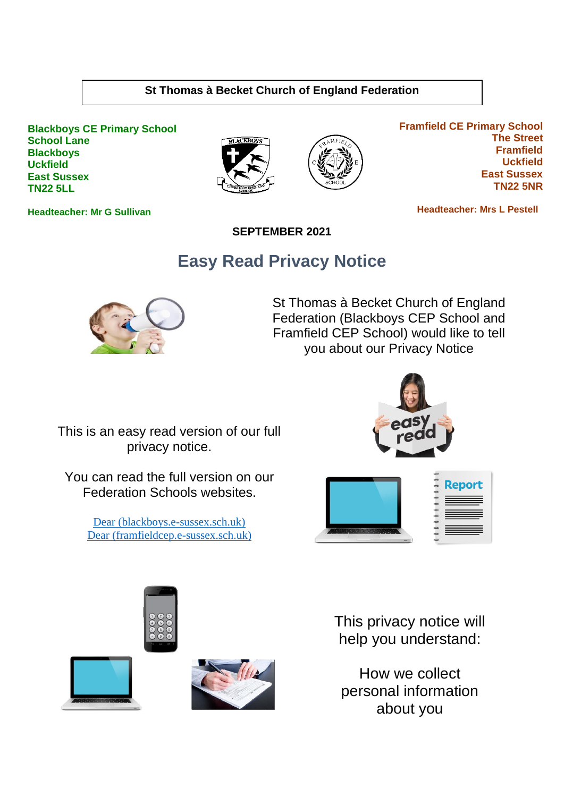#### **St Thomas à Becket Church of England Federation**

**Blackboys CE Primary School School Lane Blackboys Uckfield East Sussex TN22 5LL**





**Framfield CE Primary School The Street Framfield Uckfield East Sussex TN22 5NR**

 **Headteacher: Mrs L Pestell** 

**SEPTEMBER 2021**

## **Easy Read Privacy Notice**



St Thomas à Becket Church of England Federation (Blackboys CEP School and Framfield CEP School) would like to tell you about our Privacy Notice

This is an easy read version of our full privacy notice.

You can read the full version on our Federation Schools websites.

> [Dear \(blackboys.e-sussex.sch.uk\)](https://www.blackboys.e-sussex.sch.uk/wp-content/uploads/2021/11/Federation-Privacy-Notice.pdf) [Dear \(framfieldcep.e-sussex.sch.uk\)](https://www.framfieldcep.e-sussex.sch.uk/wp-content/uploads/2021/11/Federation-Privacy-Notice.pdf)









This privacy notice will help you understand:

How we collect personal information about you

**Headteacher: Mr G Sullivan**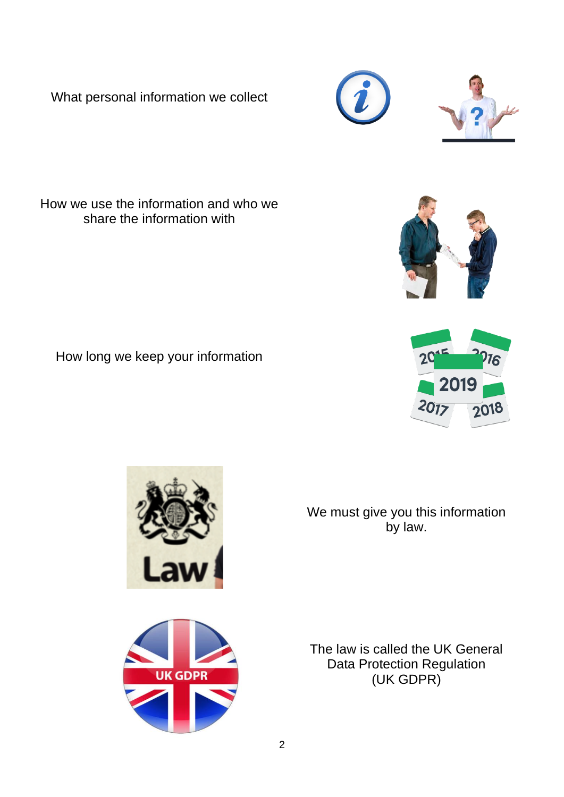What personal information we collect

How we use the information and who we share the information with

How long we keep your information

by law.

We must give you this information

The law is called the UK General Data Protection Regulation (UK GDPR)

2



 $\frac{1}{2}018$ 





 $20<sub>17</sub>$ 



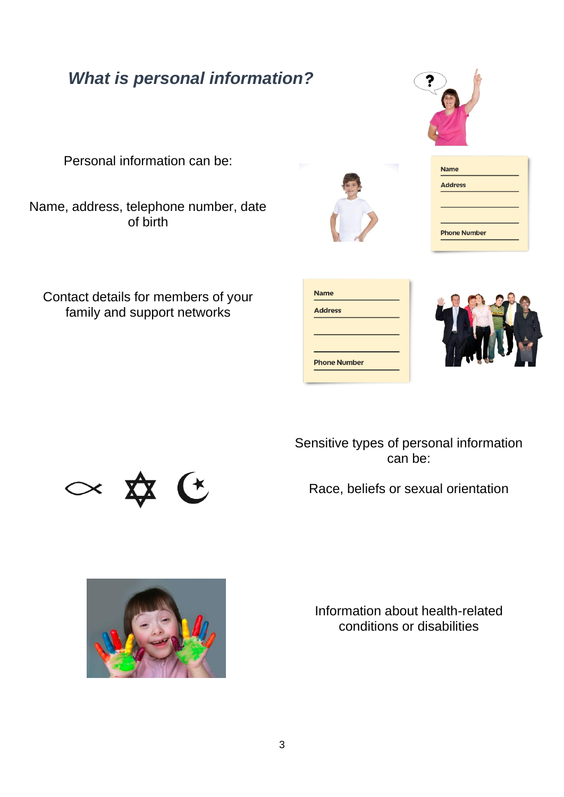## *What is personal information?*

Personal information can be:

Name, address, telephone number, date of birth

Contact details for members of your family and support networks

| <b>Name</b>         |  |
|---------------------|--|
| <b>Address</b>      |  |
|                     |  |
|                     |  |
| <b>Phone Number</b> |  |
|                     |  |



Sensitive types of personal information can be:

Race, beliefs or sexual orientation



Information about health-related conditions or disabilities





**Phone Number** 

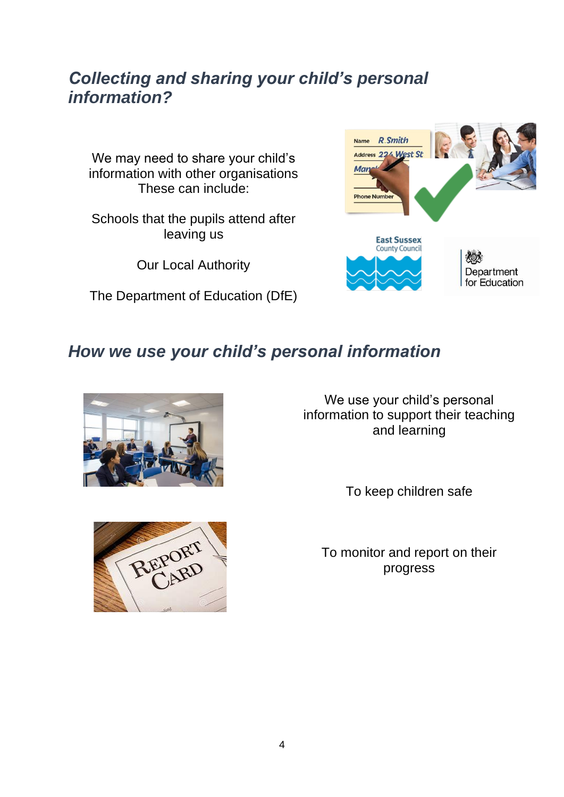## *Collecting and sharing your child's personal information?*

We may need to share your child's information with other organisations These can include:

Schools that the pupils attend after leaving us

Our Local Authority

The Department of Education (DfE)



## *How we use your child's personal information*



We use your child's personal information to support their teaching and learning

To keep children safe



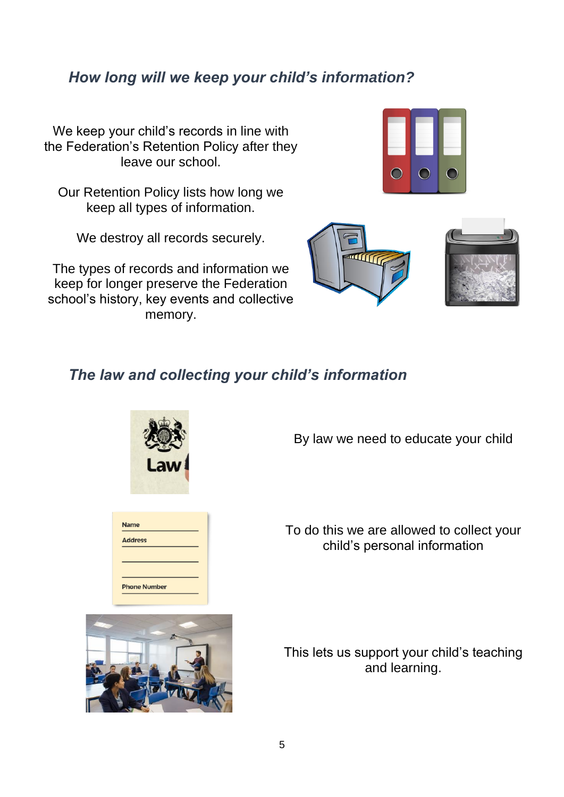### *How long will we keep your child's information?*

We keep your child's records in line with the Federation's Retention Policy after they leave our school.

Our Retention Policy lists how long we keep all types of information.

We destroy all records securely.

The types of records and information we keep for longer preserve the Federation school's history, key events and collective memory.





#### *The law and collecting your child's information*



By law we need to educate your child

To do this we are allowed to collect your child's personal information



This lets us support your child's teaching and learning.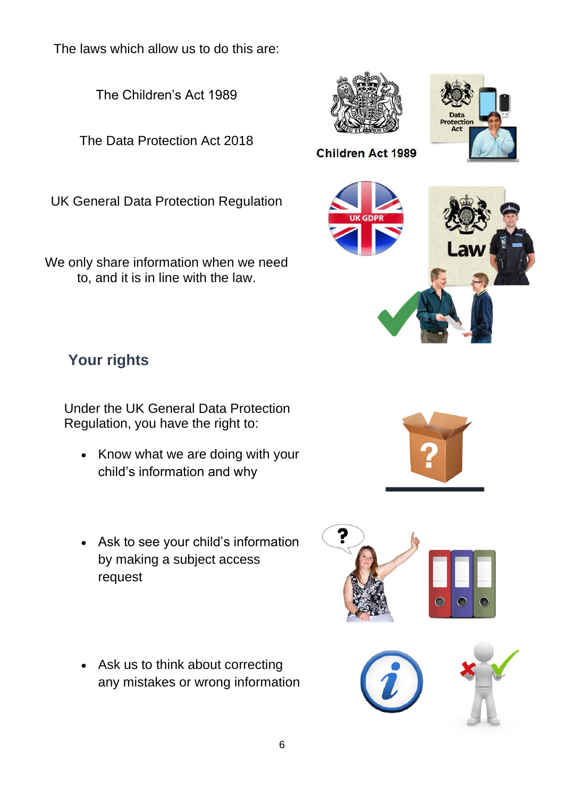The laws which allow us to do this are:

The Children's Act 1989

The Data Protection Act 2018

UK General Data Protection Regulation

We only share information when we need to, and it is in line with the law.

## **Your rights**

Under the UK General Data Protection Regulation, you have the right to:

- Know what we are doing with your child's information and why
- Ask to see your child's information by making a subject access request
- Ask us to think about correcting any mistakes or wrong information





tectio<br>Act





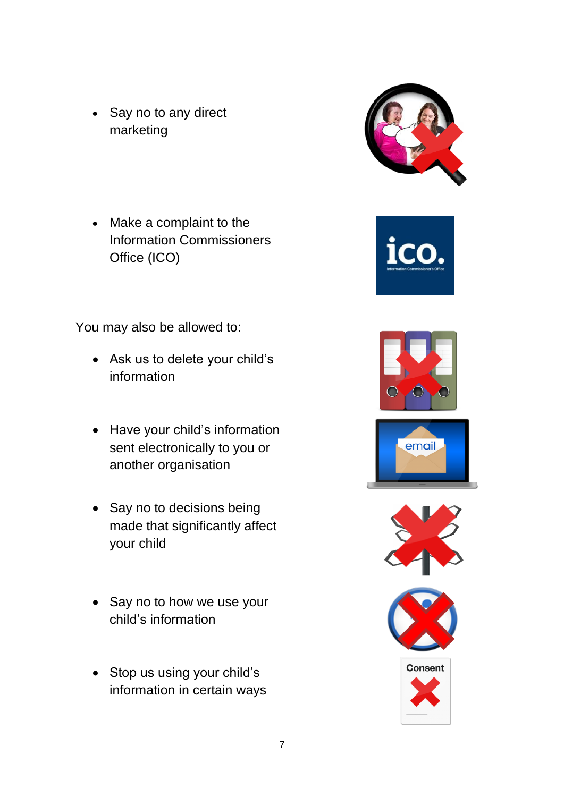• Say no to any direct marketing

• Make a complaint to the Information Commissioners Office (ICO)

You may also be allowed to:

- Ask us to delete your child's information
- Have your child's information sent electronically to you or another organisation
- Say no to decisions being made that significantly affect your child
- Say no to how we use your child's information
- Stop us using your child's information in certain ways







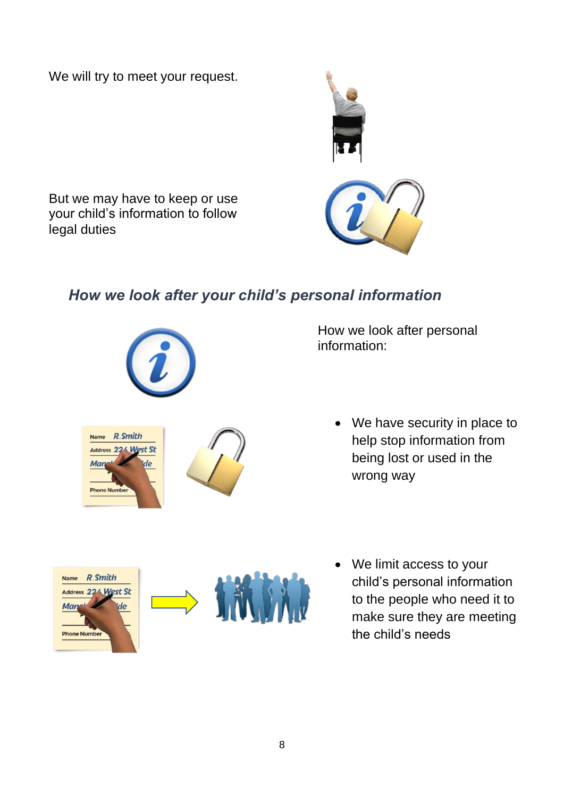We will try to meet your request.



But we may have to keep or use your child's information to follow legal duties

### *How we look after your child's personal information*



How we look after personal information:

> • We have security in place to help stop information from being lost or used in the wrong way



• We limit access to your child's personal information to the people who need it to make sure they are meeting the child's needs